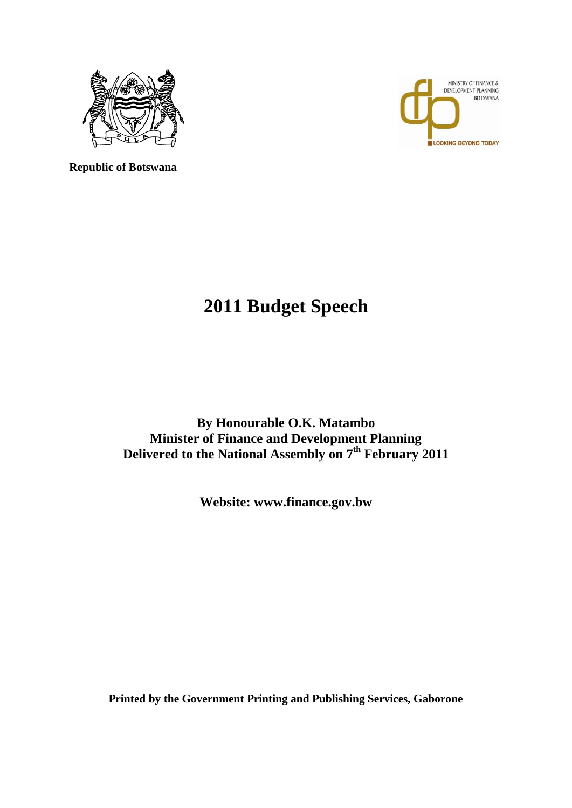



**Republic of Botswana**

# **2011 Budget Speech**

**By Honourable O.K. Matambo Minister of Finance and Development Planning Delivered to the National Assembly on 7 th February 2011**

**Website: www.finance.gov.bw**

**Printed by the Government Printing and Publishing Services, Gaborone**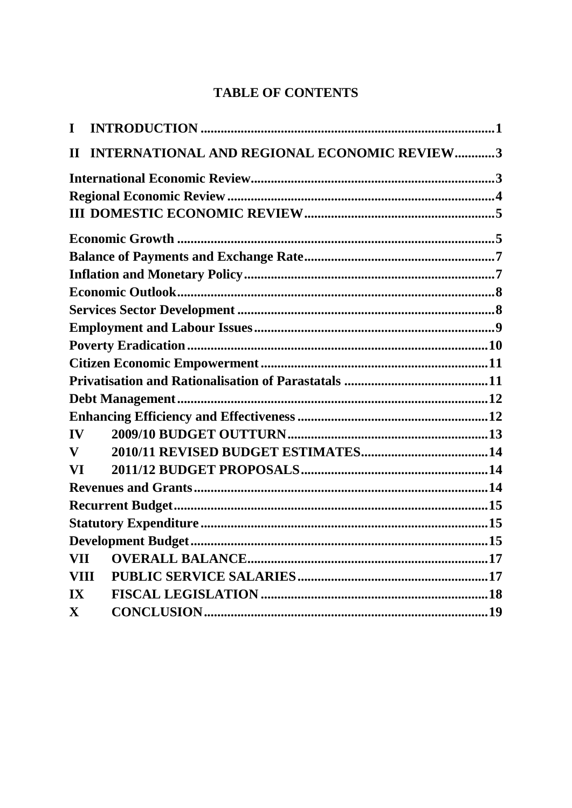## **TABLE OF CONTENTS**

| $\mathbf I$  |                                                    |  |
|--------------|----------------------------------------------------|--|
| $\mathbf{H}$ | <b>INTERNATIONAL AND REGIONAL ECONOMIC REVIEW3</b> |  |
|              |                                                    |  |
|              |                                                    |  |
|              |                                                    |  |
|              |                                                    |  |
|              |                                                    |  |
|              |                                                    |  |
|              |                                                    |  |
|              |                                                    |  |
|              |                                                    |  |
|              |                                                    |  |
|              |                                                    |  |
|              |                                                    |  |
|              |                                                    |  |
|              |                                                    |  |
| IV           |                                                    |  |
| $\mathbf{V}$ |                                                    |  |
| <b>VI</b>    |                                                    |  |
|              |                                                    |  |
|              |                                                    |  |
|              |                                                    |  |
|              |                                                    |  |
| <b>VII</b>   |                                                    |  |
| <b>VIII</b>  |                                                    |  |
| IX           |                                                    |  |
| $\mathbf{X}$ |                                                    |  |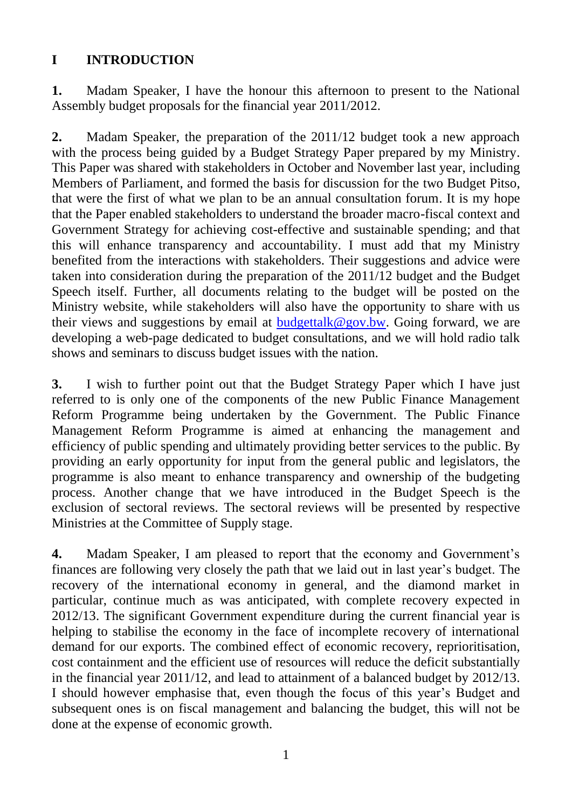#### <span id="page-2-0"></span>**I INTRODUCTION**

**1.** Madam Speaker, I have the honour this afternoon to present to the National Assembly budget proposals for the financial year 2011/2012.

**2.** Madam Speaker, the preparation of the 2011/12 budget took a new approach with the process being guided by a Budget Strategy Paper prepared by my Ministry. This Paper was shared with stakeholders in October and November last year, including Members of Parliament, and formed the basis for discussion for the two Budget Pitso, that were the first of what we plan to be an annual consultation forum. It is my hope that the Paper enabled stakeholders to understand the broader macro-fiscal context and Government Strategy for achieving cost-effective and sustainable spending; and that this will enhance transparency and accountability. I must add that my Ministry benefited from the interactions with stakeholders. Their suggestions and advice were taken into consideration during the preparation of the 2011/12 budget and the Budget Speech itself. Further, all documents relating to the budget will be posted on the Ministry website, while stakeholders will also have the opportunity to share with us their views and suggestions by email at  $b$ udgettalk@gov.bw. Going forward, we are developing a web-page dedicated to budget consultations, and we will hold radio talk shows and seminars to discuss budget issues with the nation.

**3.** I wish to further point out that the Budget Strategy Paper which I have just referred to is only one of the components of the new Public Finance Management Reform Programme being undertaken by the Government. The Public Finance Management Reform Programme is aimed at enhancing the management and efficiency of public spending and ultimately providing better services to the public. By providing an early opportunity for input from the general public and legislators, the programme is also meant to enhance transparency and ownership of the budgeting process. Another change that we have introduced in the Budget Speech is the exclusion of sectoral reviews. The sectoral reviews will be presented by respective Ministries at the Committee of Supply stage.

**4.** Madam Speaker, I am pleased to report that the economy and Government"s finances are following very closely the path that we laid out in last year"s budget. The recovery of the international economy in general, and the diamond market in particular, continue much as was anticipated, with complete recovery expected in 2012/13. The significant Government expenditure during the current financial year is helping to stabilise the economy in the face of incomplete recovery of international demand for our exports. The combined effect of economic recovery, reprioritisation, cost containment and the efficient use of resources will reduce the deficit substantially in the financial year 2011/12, and lead to attainment of a balanced budget by 2012/13. I should however emphasise that, even though the focus of this year"s Budget and subsequent ones is on fiscal management and balancing the budget, this will not be done at the expense of economic growth.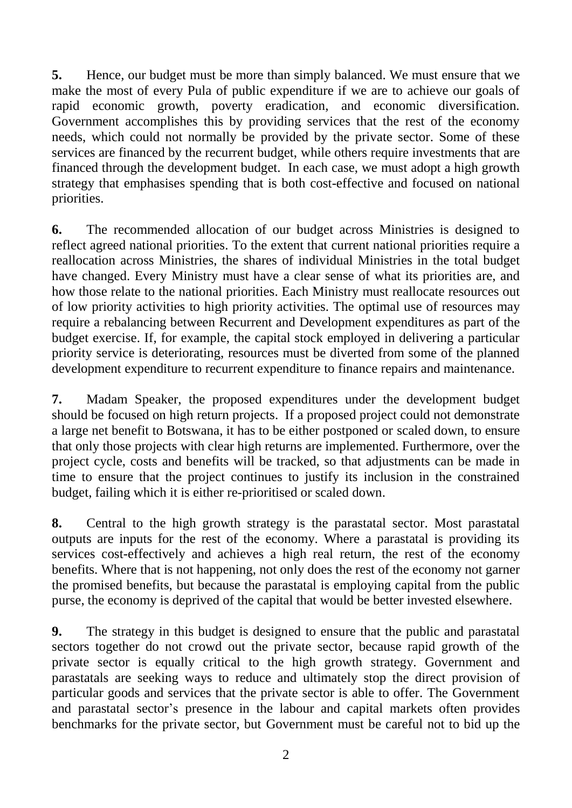**5.** Hence, our budget must be more than simply balanced. We must ensure that we make the most of every Pula of public expenditure if we are to achieve our goals of rapid economic growth, poverty eradication, and economic diversification. Government accomplishes this by providing services that the rest of the economy needs, which could not normally be provided by the private sector. Some of these services are financed by the recurrent budget, while others require investments that are financed through the development budget. In each case, we must adopt a high growth strategy that emphasises spending that is both cost-effective and focused on national priorities.

**6.** The recommended allocation of our budget across Ministries is designed to reflect agreed national priorities. To the extent that current national priorities require a reallocation across Ministries, the shares of individual Ministries in the total budget have changed. Every Ministry must have a clear sense of what its priorities are, and how those relate to the national priorities. Each Ministry must reallocate resources out of low priority activities to high priority activities. The optimal use of resources may require a rebalancing between Recurrent and Development expenditures as part of the budget exercise. If, for example, the capital stock employed in delivering a particular priority service is deteriorating, resources must be diverted from some of the planned development expenditure to recurrent expenditure to finance repairs and maintenance.

**7.** Madam Speaker, the proposed expenditures under the development budget should be focused on high return projects. If a proposed project could not demonstrate a large net benefit to Botswana, it has to be either postponed or scaled down, to ensure that only those projects with clear high returns are implemented. Furthermore, over the project cycle, costs and benefits will be tracked, so that adjustments can be made in time to ensure that the project continues to justify its inclusion in the constrained budget, failing which it is either re-prioritised or scaled down.

**8.** Central to the high growth strategy is the parastatal sector. Most parastatal outputs are inputs for the rest of the economy. Where a parastatal is providing its services cost-effectively and achieves a high real return, the rest of the economy benefits. Where that is not happening, not only does the rest of the economy not garner the promised benefits, but because the parastatal is employing capital from the public purse, the economy is deprived of the capital that would be better invested elsewhere.

**9.** The strategy in this budget is designed to ensure that the public and parastatal sectors together do not crowd out the private sector, because rapid growth of the private sector is equally critical to the high growth strategy. Government and parastatals are seeking ways to reduce and ultimately stop the direct provision of particular goods and services that the private sector is able to offer. The Government and parastatal sector"s presence in the labour and capital markets often provides benchmarks for the private sector, but Government must be careful not to bid up the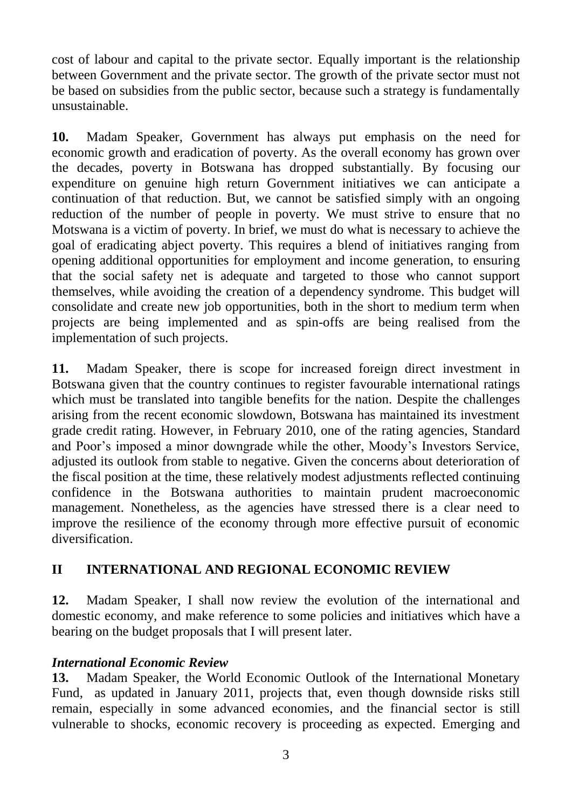cost of labour and capital to the private sector. Equally important is the relationship between Government and the private sector. The growth of the private sector must not be based on subsidies from the public sector, because such a strategy is fundamentally unsustainable.

**10.** Madam Speaker, Government has always put emphasis on the need for economic growth and eradication of poverty. As the overall economy has grown over the decades, poverty in Botswana has dropped substantially. By focusing our expenditure on genuine high return Government initiatives we can anticipate a continuation of that reduction. But, we cannot be satisfied simply with an ongoing reduction of the number of people in poverty. We must strive to ensure that no Motswana is a victim of poverty. In brief, we must do what is necessary to achieve the goal of eradicating abject poverty. This requires a blend of initiatives ranging from opening additional opportunities for employment and income generation, to ensuring that the social safety net is adequate and targeted to those who cannot support themselves, while avoiding the creation of a dependency syndrome. This budget will consolidate and create new job opportunities, both in the short to medium term when projects are being implemented and as spin-offs are being realised from the implementation of such projects.

**11.** Madam Speaker, there is scope for increased foreign direct investment in Botswana given that the country continues to register favourable international ratings which must be translated into tangible benefits for the nation. Despite the challenges arising from the recent economic slowdown, Botswana has maintained its investment grade credit rating. However, in February 2010, one of the rating agencies, Standard and Poor"s imposed a minor downgrade while the other, Moody"s Investors Service, adjusted its outlook from stable to negative. Given the concerns about deterioration of the fiscal position at the time, these relatively modest adjustments reflected continuing confidence in the Botswana authorities to maintain prudent macroeconomic management. Nonetheless, as the agencies have stressed there is a clear need to improve the resilience of the economy through more effective pursuit of economic diversification.

## <span id="page-4-0"></span>**II INTERNATIONAL AND REGIONAL ECONOMIC REVIEW**

**12.** Madam Speaker, I shall now review the evolution of the international and domestic economy, and make reference to some policies and initiatives which have a bearing on the budget proposals that I will present later.

## <span id="page-4-1"></span>*International Economic Review*

**13.** Madam Speaker, the World Economic Outlook of the International Monetary Fund, as updated in January 2011, projects that, even though downside risks still remain, especially in some advanced economies, and the financial sector is still vulnerable to shocks, economic recovery is proceeding as expected. Emerging and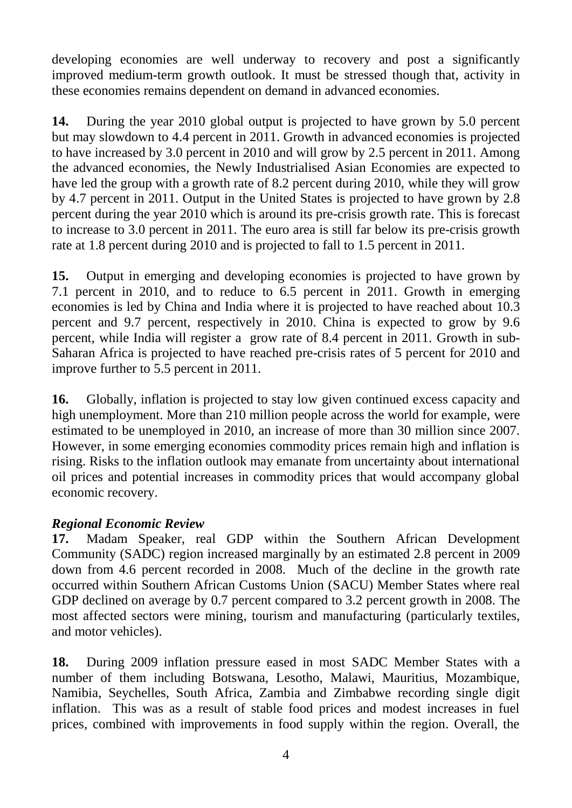developing economies are well underway to recovery and post a significantly improved medium-term growth outlook. It must be stressed though that, activity in these economies remains dependent on demand in advanced economies.

**14.** During the year 2010 global output is projected to have grown by 5.0 percent but may slowdown to 4.4 percent in 2011. Growth in advanced economies is projected to have increased by 3.0 percent in 2010 and will grow by 2.5 percent in 2011. Among the advanced economies, the Newly Industrialised Asian Economies are expected to have led the group with a growth rate of 8.2 percent during 2010, while they will grow by 4.7 percent in 2011. Output in the United States is projected to have grown by 2.8 percent during the year 2010 which is around its pre-crisis growth rate. This is forecast to increase to 3.0 percent in 2011. The euro area is still far below its pre-crisis growth rate at 1.8 percent during 2010 and is projected to fall to 1.5 percent in 2011.

**15.** Output in emerging and developing economies is projected to have grown by 7.1 percent in 2010, and to reduce to 6.5 percent in 2011. Growth in emerging economies is led by China and India where it is projected to have reached about 10.3 percent and 9.7 percent, respectively in 2010. China is expected to grow by 9.6 percent, while India will register a grow rate of 8.4 percent in 2011. Growth in sub-Saharan Africa is projected to have reached pre-crisis rates of 5 percent for 2010 and improve further to 5.5 percent in 2011.

**16.** Globally, inflation is projected to stay low given continued excess capacity and high unemployment. More than 210 million people across the world for example, were estimated to be unemployed in 2010, an increase of more than 30 million since 2007. However, in some emerging economies commodity prices remain high and inflation is rising. Risks to the inflation outlook may emanate from uncertainty about international oil prices and potential increases in commodity prices that would accompany global economic recovery.

#### <span id="page-5-0"></span>*Regional Economic Review*

**17.** Madam Speaker, real GDP within the Southern African Development Community (SADC) region increased marginally by an estimated 2.8 percent in 2009 down from 4.6 percent recorded in 2008. Much of the decline in the growth rate occurred within Southern African Customs Union (SACU) Member States where real GDP declined on average by 0.7 percent compared to 3.2 percent growth in 2008. The most affected sectors were mining, tourism and manufacturing (particularly textiles, and motor vehicles).

**18.** During 2009 inflation pressure eased in most SADC Member States with a number of them including Botswana, Lesotho, Malawi, Mauritius, Mozambique, Namibia, Seychelles, South Africa, Zambia and Zimbabwe recording single digit inflation. This was as a result of stable food prices and modest increases in fuel prices, combined with improvements in food supply within the region. Overall, the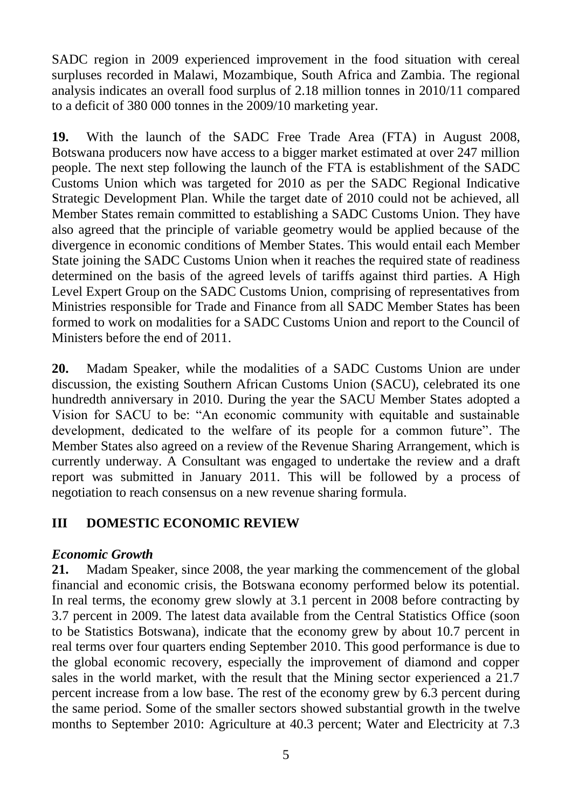SADC region in 2009 experienced improvement in the food situation with cereal surpluses recorded in Malawi, Mozambique, South Africa and Zambia. The regional analysis indicates an overall food surplus of 2.18 million tonnes in 2010/11 compared to a deficit of 380 000 tonnes in the 2009/10 marketing year.

**19.** With the launch of the SADC Free Trade Area (FTA) in August 2008, Botswana producers now have access to a bigger market estimated at over 247 million people. The next step following the launch of the FTA is establishment of the SADC Customs Union which was targeted for 2010 as per the SADC Regional Indicative Strategic Development Plan. While the target date of 2010 could not be achieved, all Member States remain committed to establishing a SADC Customs Union. They have also agreed that the principle of variable geometry would be applied because of the divergence in economic conditions of Member States. This would entail each Member State joining the SADC Customs Union when it reaches the required state of readiness determined on the basis of the agreed levels of tariffs against third parties. A High Level Expert Group on the SADC Customs Union, comprising of representatives from Ministries responsible for Trade and Finance from all SADC Member States has been formed to work on modalities for a SADC Customs Union and report to the Council of Ministers before the end of 2011.

**20.** Madam Speaker, while the modalities of a SADC Customs Union are under discussion, the existing Southern African Customs Union (SACU), celebrated its one hundredth anniversary in 2010. During the year the SACU Member States adopted a Vision for SACU to be: "An economic community with equitable and sustainable development, dedicated to the welfare of its people for a common future". The Member States also agreed on a review of the Revenue Sharing Arrangement, which is currently underway. A Consultant was engaged to undertake the review and a draft report was submitted in January 2011. This will be followed by a process of negotiation to reach consensus on a new revenue sharing formula.

## <span id="page-6-0"></span>**III DOMESTIC ECONOMIC REVIEW**

#### <span id="page-6-1"></span>*Economic Growth*

**21.** Madam Speaker, since 2008, the year marking the commencement of the global financial and economic crisis, the Botswana economy performed below its potential. In real terms, the economy grew slowly at 3.1 percent in 2008 before contracting by 3.7 percent in 2009. The latest data available from the Central Statistics Office (soon to be Statistics Botswana), indicate that the economy grew by about 10.7 percent in real terms over four quarters ending September 2010. This good performance is due to the global economic recovery, especially the improvement of diamond and copper sales in the world market, with the result that the Mining sector experienced a 21.7 percent increase from a low base. The rest of the economy grew by 6.3 percent during the same period. Some of the smaller sectors showed substantial growth in the twelve months to September 2010: Agriculture at 40.3 percent; Water and Electricity at 7.3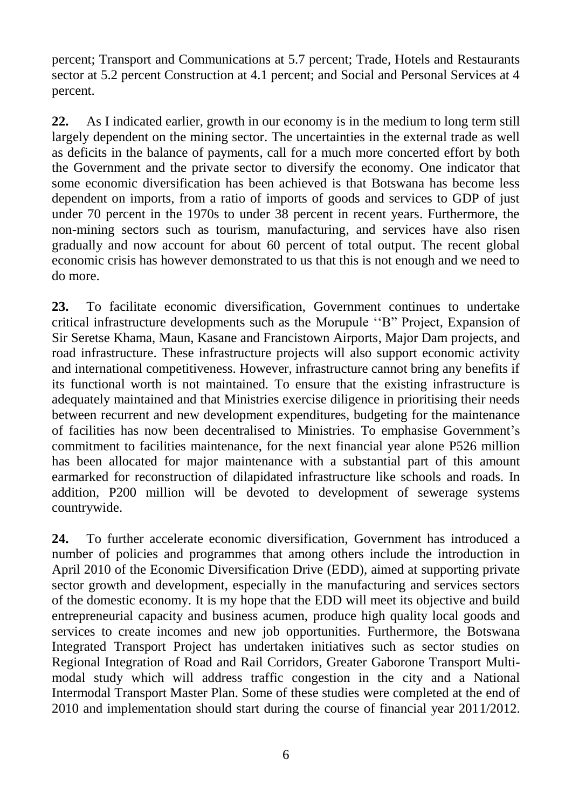percent; Transport and Communications at 5.7 percent; Trade, Hotels and Restaurants sector at 5.2 percent Construction at 4.1 percent; and Social and Personal Services at 4 percent.

**22.** As I indicated earlier, growth in our economy is in the medium to long term still largely dependent on the mining sector. The uncertainties in the external trade as well as deficits in the balance of payments, call for a much more concerted effort by both the Government and the private sector to diversify the economy. One indicator that some economic diversification has been achieved is that Botswana has become less dependent on imports, from a ratio of imports of goods and services to GDP of just under 70 percent in the 1970s to under 38 percent in recent years. Furthermore, the non-mining sectors such as tourism, manufacturing, and services have also risen gradually and now account for about 60 percent of total output. The recent global economic crisis has however demonstrated to us that this is not enough and we need to do more.

**23.** To facilitate economic diversification, Government continues to undertake critical infrastructure developments such as the Morupule ""B" Project, Expansion of Sir Seretse Khama, Maun, Kasane and Francistown Airports, Major Dam projects, and road infrastructure. These infrastructure projects will also support economic activity and international competitiveness. However, infrastructure cannot bring any benefits if its functional worth is not maintained*.* To ensure that the existing infrastructure is adequately maintained and that Ministries exercise diligence in prioritising their needs between recurrent and new development expenditures, budgeting for the maintenance of facilities has now been decentralised to Ministries. To emphasise Government"s commitment to facilities maintenance, for the next financial year alone P526 million has been allocated for major maintenance with a substantial part of this amount earmarked for reconstruction of dilapidated infrastructure like schools and roads. In addition, P200 million will be devoted to development of sewerage systems countrywide.

**24.** To further accelerate economic diversification, Government has introduced a number of policies and programmes that among others include the introduction in April 2010 of the Economic Diversification Drive (EDD), aimed at supporting private sector growth and development, especially in the manufacturing and services sectors of the domestic economy. It is my hope that the EDD will meet its objective and build entrepreneurial capacity and business acumen, produce high quality local goods and services to create incomes and new job opportunities. Furthermore, the Botswana Integrated Transport Project has undertaken initiatives such as sector studies on Regional Integration of Road and Rail Corridors, Greater Gaborone Transport Multimodal study which will address traffic congestion in the city and a National Intermodal Transport Master Plan. Some of these studies were completed at the end of 2010 and implementation should start during the course of financial year 2011/2012.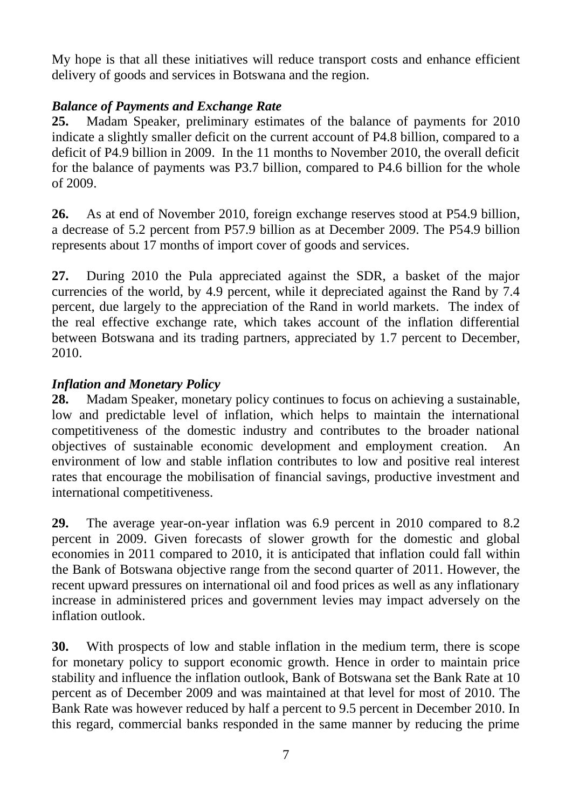My hope is that all these initiatives will reduce transport costs and enhance efficient delivery of goods and services in Botswana and the region.

#### <span id="page-8-0"></span>*Balance of Payments and Exchange Rate*

**25.** Madam Speaker, preliminary estimates of the balance of payments for 2010 indicate a slightly smaller deficit on the current account of P4.8 billion, compared to a deficit of P4.9 billion in 2009. In the 11 months to November 2010, the overall deficit for the balance of payments was P3.7 billion, compared to P4.6 billion for the whole of 2009.

**26.** As at end of November 2010, foreign exchange reserves stood at P54.9 billion, a decrease of 5.2 percent from P57.9 billion as at December 2009. The P54.9 billion represents about 17 months of import cover of goods and services.

**27.** During 2010 the Pula appreciated against the SDR, a basket of the major currencies of the world, by 4.9 percent, while it depreciated against the Rand by 7.4 percent, due largely to the appreciation of the Rand in world markets. The index of the real effective exchange rate, which takes account of the inflation differential between Botswana and its trading partners, appreciated by 1.7 percent to December, 2010.

## <span id="page-8-1"></span>*Inflation and Monetary Policy*

**28.** Madam Speaker, monetary policy continues to focus on achieving a sustainable, low and predictable level of inflation, which helps to maintain the international competitiveness of the domestic industry and contributes to the broader national objectives of sustainable economic development and employment creation. An environment of low and stable inflation contributes to low and positive real interest rates that encourage the mobilisation of financial savings, productive investment and international competitiveness.

**29.** The average year-on-year inflation was 6.9 percent in 2010 compared to 8.2 percent in 2009. Given forecasts of slower growth for the domestic and global economies in 2011 compared to 2010, it is anticipated that inflation could fall within the Bank of Botswana objective range from the second quarter of 2011. However, the recent upward pressures on international oil and food prices as well as any inflationary increase in administered prices and government levies may impact adversely on the inflation outlook.

**30.** With prospects of low and stable inflation in the medium term, there is scope for monetary policy to support economic growth. Hence in order to maintain price stability and influence the inflation outlook, Bank of Botswana set the Bank Rate at 10 percent as of December 2009 and was maintained at that level for most of 2010. The Bank Rate was however reduced by half a percent to 9.5 percent in December 2010. In this regard, commercial banks responded in the same manner by reducing the prime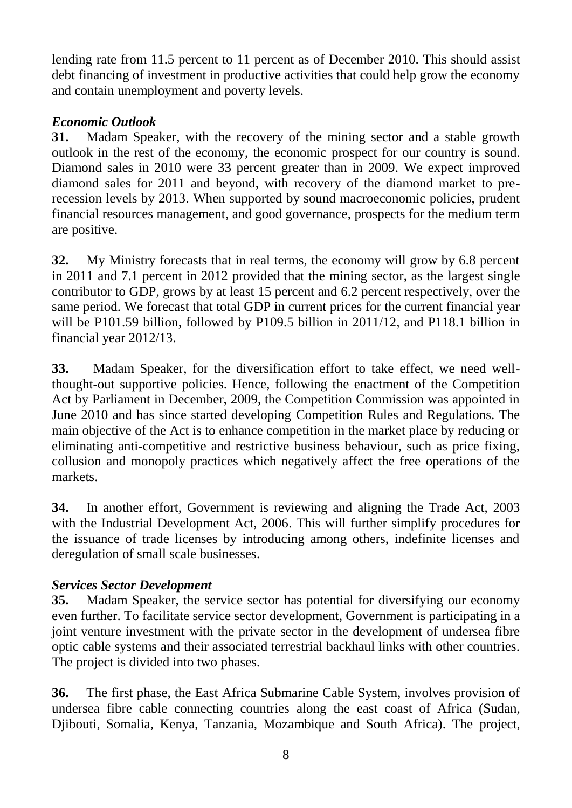lending rate from 11.5 percent to 11 percent as of December 2010. This should assist debt financing of investment in productive activities that could help grow the economy and contain unemployment and poverty levels.

#### <span id="page-9-0"></span>*Economic Outlook*

**31.** Madam Speaker, with the recovery of the mining sector and a stable growth outlook in the rest of the economy, the economic prospect for our country is sound. Diamond sales in 2010 were 33 percent greater than in 2009. We expect improved diamond sales for 2011 and beyond, with recovery of the diamond market to prerecession levels by 2013. When supported by sound macroeconomic policies, prudent financial resources management, and good governance, prospects for the medium term are positive.

**32.** My Ministry forecasts that in real terms, the economy will grow by 6.8 percent in 2011 and 7.1 percent in 2012 provided that the mining sector, as the largest single contributor to GDP, grows by at least 15 percent and 6.2 percent respectively, over the same period. We forecast that total GDP in current prices for the current financial year will be P101.59 billion, followed by P109.5 billion in 2011/12, and P118.1 billion in financial year 2012/13.

**33.** Madam Speaker, for the diversification effort to take effect, we need wellthought-out supportive policies. Hence, following the enactment of the Competition Act by Parliament in December, 2009, the Competition Commission was appointed in June 2010 and has since started developing Competition Rules and Regulations. The main objective of the Act is to enhance competition in the market place by reducing or eliminating anti-competitive and restrictive business behaviour, such as price fixing, collusion and monopoly practices which negatively affect the free operations of the markets.

**34.** In another effort, Government is reviewing and aligning the Trade Act, 2003 with the Industrial Development Act, 2006. This will further simplify procedures for the issuance of trade licenses by introducing among others, indefinite licenses and deregulation of small scale businesses.

## <span id="page-9-1"></span>*Services Sector Development*

**35.** Madam Speaker, the service sector has potential for diversifying our economy even further. To facilitate service sector development, Government is participating in a joint venture investment with the private sector in the development of undersea fibre optic cable systems and their associated terrestrial backhaul links with other countries. The project is divided into two phases.

**36.** The first phase, the East Africa Submarine Cable System, involves provision of undersea fibre cable connecting countries along the east coast of Africa (Sudan, Djibouti, Somalia, Kenya, Tanzania, Mozambique and South Africa). The project,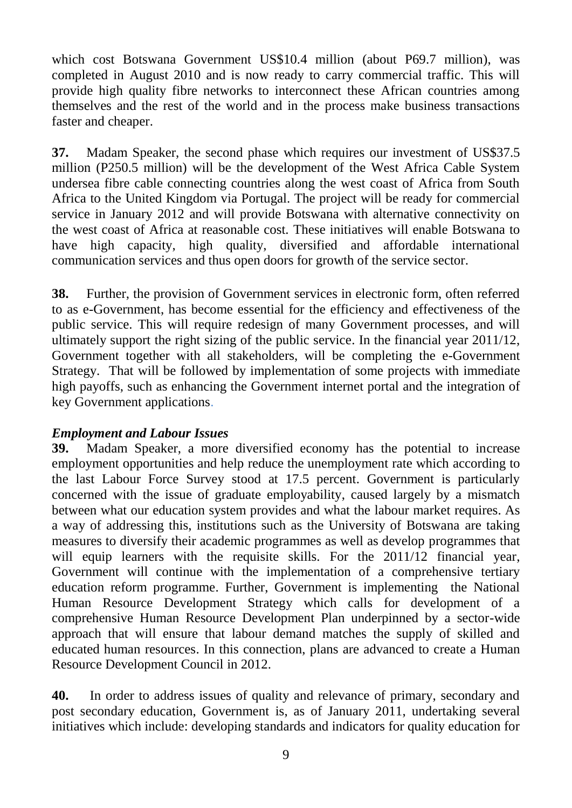which cost Botswana Government US\$10.4 million (about P69.7 million), was completed in August 2010 and is now ready to carry commercial traffic. This will provide high quality fibre networks to interconnect these African countries among themselves and the rest of the world and in the process make business transactions faster and cheaper.

**37.** Madam Speaker, the second phase which requires our investment of US\$37.5 million (P250.5 million) will be the development of the West Africa Cable System undersea fibre cable connecting countries along the west coast of Africa from South Africa to the United Kingdom via Portugal. The project will be ready for commercial service in January 2012 and will provide Botswana with alternative connectivity on the west coast of Africa at reasonable cost. These initiatives will enable Botswana to have high capacity, high quality, diversified and affordable international communication services and thus open doors for growth of the service sector.

**38.** Further, the provision of Government services in electronic form, often referred to as e-Government, has become essential for the efficiency and effectiveness of the public service. This will require redesign of many Government processes, and will ultimately support the right sizing of the public service. In the financial year 2011/12, Government together with all stakeholders, will be completing the e-Government Strategy. That will be followed by implementation of some projects with immediate high payoffs, such as enhancing the Government internet portal and the integration of key Government applications.

#### <span id="page-10-0"></span>*Employment and Labour Issues*

**39.** Madam Speaker, a more diversified economy has the potential to increase employment opportunities and help reduce the unemployment rate which according to the last Labour Force Survey stood at 17.5 percent. Government is particularly concerned with the issue of graduate employability, caused largely by a mismatch between what our education system provides and what the labour market requires. As a way of addressing this, institutions such as the University of Botswana are taking measures to diversify their academic programmes as well as develop programmes that will equip learners with the requisite skills. For the 2011/12 financial year, Government will continue with the implementation of a comprehensive tertiary education reform programme. Further, Government is implementing the National Human Resource Development Strategy which calls for development of a comprehensive Human Resource Development Plan underpinned by a sector-wide approach that will ensure that labour demand matches the supply of skilled and educated human resources. In this connection, plans are advanced to create a Human Resource Development Council in 2012.

**40.** In order to address issues of quality and relevance of primary, secondary and post secondary education, Government is, as of January 2011, undertaking several initiatives which include: developing standards and indicators for quality education for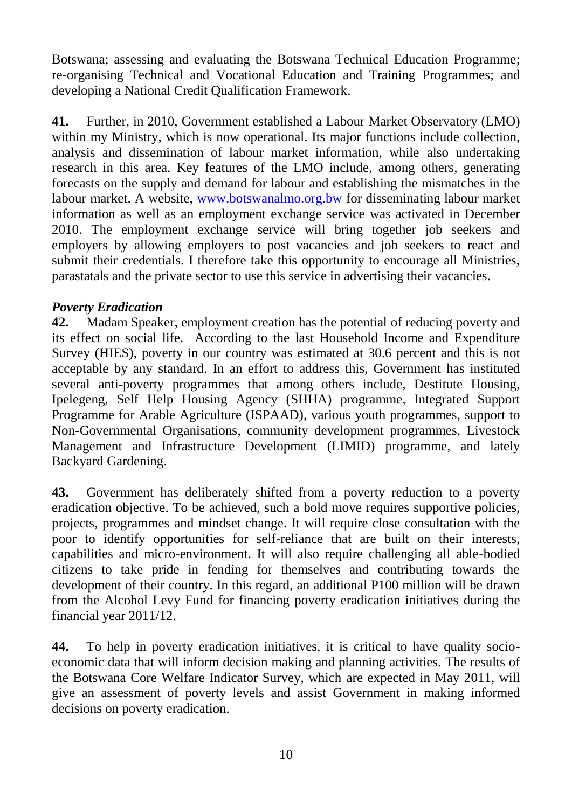Botswana; assessing and evaluating the Botswana Technical Education Programme; re-organising Technical and Vocational Education and Training Programmes; and developing a National Credit Qualification Framework.

**41.** Further, in 2010, Government established a Labour Market Observatory (LMO) within my Ministry, which is now operational. Its major functions include collection, analysis and dissemination of labour market information, while also undertaking research in this area. Key features of the LMO include, among others, generating forecasts on the supply and demand for labour and establishing the mismatches in the labour market. A website, [www.botswanalmo.org.bw](http://www.botswanalmo.org.bw/) for disseminating labour market information as well as an employment exchange service was activated in December 2010. The employment exchange service will bring together job seekers and employers by allowing employers to post vacancies and job seekers to react and submit their credentials. I therefore take this opportunity to encourage all Ministries, parastatals and the private sector to use this service in advertising their vacancies.

## <span id="page-11-0"></span>*Poverty Eradication*

**42.** Madam Speaker, employment creation has the potential of reducing poverty and its effect on social life. According to the last Household Income and Expenditure Survey (HIES), poverty in our country was estimated at 30.6 percent and this is not acceptable by any standard. In an effort to address this, Government has instituted several anti-poverty programmes that among others include, Destitute Housing, Ipelegeng, Self Help Housing Agency (SHHA) programme, Integrated Support Programme for Arable Agriculture (ISPAAD), various youth programmes, support to Non-Governmental Organisations, community development programmes, Livestock Management and Infrastructure Development (LIMID) programme, and lately Backyard Gardening.

**43.** Government has deliberately shifted from a poverty reduction to a poverty eradication objective. To be achieved, such a bold move requires supportive policies, projects, programmes and mindset change. It will require close consultation with the poor to identify opportunities for self-reliance that are built on their interests, capabilities and micro-environment. It will also require challenging all able-bodied citizens to take pride in fending for themselves and contributing towards the development of their country. In this regard, an additional P100 million will be drawn from the Alcohol Levy Fund for financing poverty eradication initiatives during the financial year 2011/12.

**44.** To help in poverty eradication initiatives, it is critical to have quality socioeconomic data that will inform decision making and planning activities. The results of the Botswana Core Welfare Indicator Survey, which are expected in May 2011, will give an assessment of poverty levels and assist Government in making informed decisions on poverty eradication.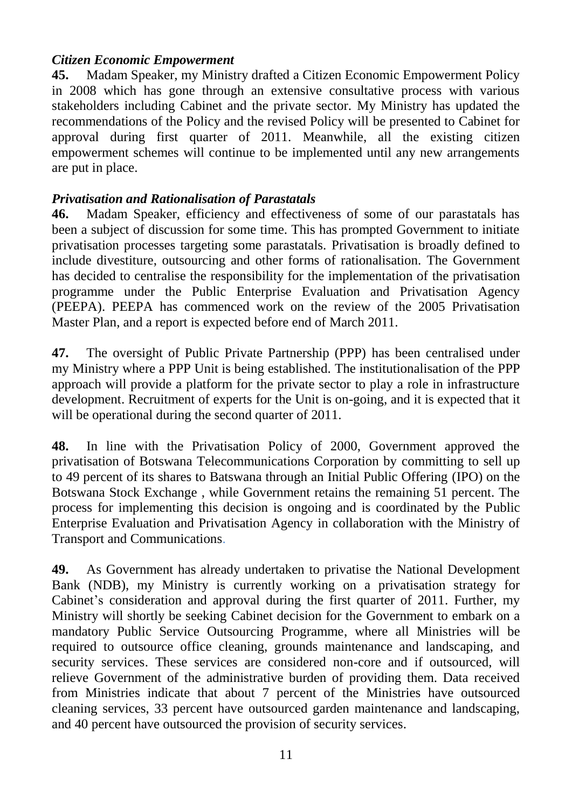#### <span id="page-12-0"></span>*Citizen Economic Empowerment*

**45.** Madam Speaker, my Ministry drafted a Citizen Economic Empowerment Policy in 2008 which has gone through an extensive consultative process with various stakeholders including Cabinet and the private sector. My Ministry has updated the recommendations of the Policy and the revised Policy will be presented to Cabinet for approval during first quarter of 2011. Meanwhile, all the existing citizen empowerment schemes will continue to be implemented until any new arrangements are put in place.

#### <span id="page-12-1"></span>*Privatisation and Rationalisation of Parastatals*

**46.** Madam Speaker, efficiency and effectiveness of some of our parastatals has been a subject of discussion for some time. This has prompted Government to initiate privatisation processes targeting some parastatals. Privatisation is broadly defined to include divestiture, outsourcing and other forms of rationalisation. The Government has decided to centralise the responsibility for the implementation of the privatisation programme under the Public Enterprise Evaluation and Privatisation Agency (PEEPA). PEEPA has commenced work on the review of the 2005 Privatisation Master Plan, and a report is expected before end of March 2011.

**47.** The oversight of Public Private Partnership (PPP) has been centralised under my Ministry where a PPP Unit is being established. The institutionalisation of the PPP approach will provide a platform for the private sector to play a role in infrastructure development. Recruitment of experts for the Unit is on-going, and it is expected that it will be operational during the second quarter of 2011.

**48.** In line with the Privatisation Policy of 2000, Government approved the privatisation of Botswana Telecommunications Corporation by committing to sell up to 49 percent of its shares to Batswana through an Initial Public Offering (IPO) on the Botswana Stock Exchange , while Government retains the remaining 51 percent. The process for implementing this decision is ongoing and is coordinated by the Public Enterprise Evaluation and Privatisation Agency in collaboration with the Ministry of Transport and Communications.

**49.** As Government has already undertaken to privatise the National Development Bank (NDB), my Ministry is currently working on a privatisation strategy for Cabinet's consideration and approval during the first quarter of 2011. Further, my Ministry will shortly be seeking Cabinet decision for the Government to embark on a mandatory Public Service Outsourcing Programme, where all Ministries will be required to outsource office cleaning, grounds maintenance and landscaping, and security services. These services are considered non-core and if outsourced, will relieve Government of the administrative burden of providing them. Data received from Ministries indicate that about 7 percent of the Ministries have outsourced cleaning services, 33 percent have outsourced garden maintenance and landscaping, and 40 percent have outsourced the provision of security services.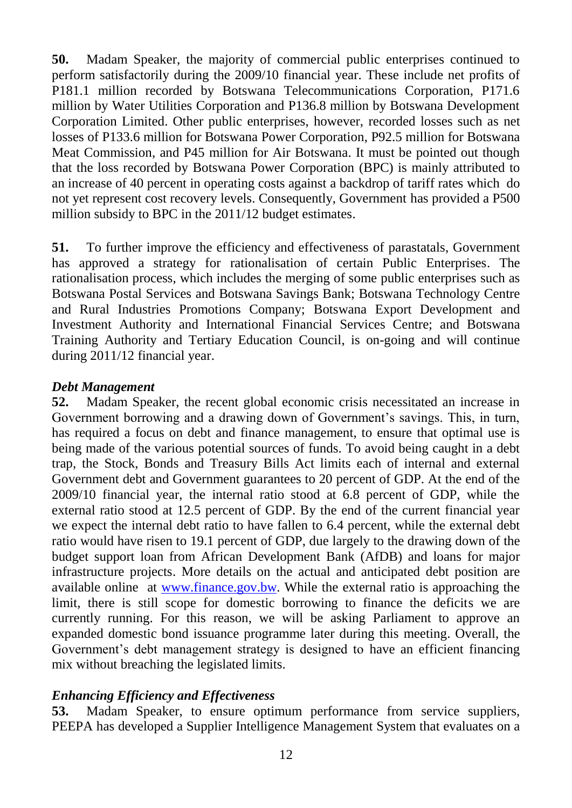**50.** Madam Speaker, the majority of commercial public enterprises continued to perform satisfactorily during the 2009/10 financial year. These include net profits of P181.1 million recorded by Botswana Telecommunications Corporation, P171.6 million by Water Utilities Corporation and P136.8 million by Botswana Development Corporation Limited. Other public enterprises, however, recorded losses such as net losses of P133.6 million for Botswana Power Corporation, P92.5 million for Botswana Meat Commission, and P45 million for Air Botswana. It must be pointed out though that the loss recorded by Botswana Power Corporation (BPC) is mainly attributed to an increase of 40 percent in operating costs against a backdrop of tariff rates which do not yet represent cost recovery levels. Consequently, Government has provided a P500 million subsidy to BPC in the 2011/12 budget estimates.

**51.** To further improve the efficiency and effectiveness of parastatals, Government has approved a strategy for rationalisation of certain Public Enterprises. The rationalisation process, which includes the merging of some public enterprises such as Botswana Postal Services and Botswana Savings Bank; Botswana Technology Centre and Rural Industries Promotions Company; Botswana Export Development and Investment Authority and International Financial Services Centre; and Botswana Training Authority and Tertiary Education Council, is on-going and will continue during 2011/12 financial year.

#### <span id="page-13-0"></span>*Debt Management*

**52.** Madam Speaker, the recent global economic crisis necessitated an increase in Government borrowing and a drawing down of Government's savings. This, in turn, has required a focus on debt and finance management, to ensure that optimal use is being made of the various potential sources of funds. To avoid being caught in a debt trap, the Stock, Bonds and Treasury Bills Act limits each of internal and external Government debt and Government guarantees to 20 percent of GDP. At the end of the 2009/10 financial year, the internal ratio stood at 6.8 percent of GDP, while the external ratio stood at 12.5 percent of GDP. By the end of the current financial year we expect the internal debt ratio to have fallen to 6.4 percent, while the external debt ratio would have risen to 19.1 percent of GDP, due largely to the drawing down of the budget support loan from African Development Bank (AfDB) and loans for major infrastructure projects. More details on the actual and anticipated debt position are available online at [www.finance.gov.bw.](http://www.finance.gov.bw/) While the external ratio is approaching the limit, there is still scope for domestic borrowing to finance the deficits we are currently running. For this reason, we will be asking Parliament to approve an expanded domestic bond issuance programme later during this meeting. Overall, the Government's debt management strategy is designed to have an efficient financing mix without breaching the legislated limits.

#### <span id="page-13-1"></span>*Enhancing Efficiency and Effectiveness*

**53.** Madam Speaker, to ensure optimum performance from service suppliers, PEEPA has developed a Supplier Intelligence Management System that evaluates on a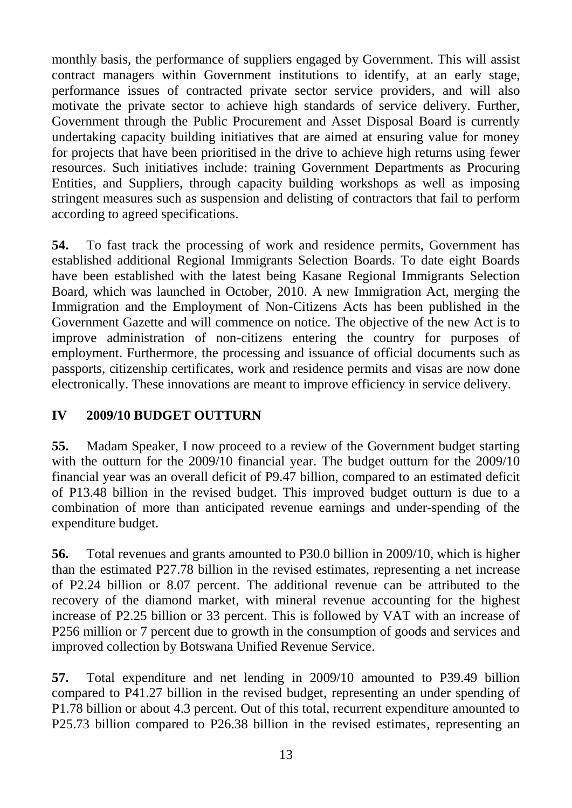monthly basis, the performance of suppliers engaged by Government. This will assist contract managers within Government institutions to identify, at an early stage, performance issues of contracted private sector service providers, and will also motivate the private sector to achieve high standards of service delivery. Further, Government through the Public Procurement and Asset Disposal Board is currently undertaking capacity building initiatives that are aimed at ensuring value for money for projects that have been prioritised in the drive to achieve high returns using fewer resources. Such initiatives include: training Government Departments as Procuring Entities, and Suppliers, through capacity building workshops as well as imposing stringent measures such as suspension and delisting of contractors that fail to perform according to agreed specifications.

**54.** To fast track the processing of work and residence permits, Government has established additional Regional Immigrants Selection Boards. To date eight Boards have been established with the latest being Kasane Regional Immigrants Selection Board, which was launched in October, 2010. A new Immigration Act, merging the Immigration and the Employment of Non-Citizens Acts has been published in the Government Gazette and will commence on notice. The objective of the new Act is to improve administration of non-citizens entering the country for purposes of employment. Furthermore, the processing and issuance of official documents such as passports, citizenship certificates, work and residence permits and visas are now done electronically. These innovations are meant to improve efficiency in service delivery.

## <span id="page-14-0"></span>**IV 2009/10 BUDGET OUTTURN**

**55.** Madam Speaker, I now proceed to a review of the Government budget starting with the outturn for the 2009/10 financial year. The budget outturn for the 2009/10 financial year was an overall deficit of P9.47 billion, compared to an estimated deficit of P13.48 billion in the revised budget. This improved budget outturn is due to a combination of more than anticipated revenue earnings and under-spending of the expenditure budget.

**56.** Total revenues and grants amounted to P30.0 billion in 2009/10, which is higher than the estimated P27.78 billion in the revised estimates, representing a net increase of P2.24 billion or 8.07 percent. The additional revenue can be attributed to the recovery of the diamond market, with mineral revenue accounting for the highest increase of P2.25 billion or 33 percent. This is followed by VAT with an increase of P256 million or 7 percent due to growth in the consumption of goods and services and improved collection by Botswana Unified Revenue Service.

**57.** Total expenditure and net lending in 2009/10 amounted to P39.49 billion compared to P41.27 billion in the revised budget, representing an under spending of P1.78 billion or about 4.3 percent. Out of this total, recurrent expenditure amounted to P25.73 billion compared to P26.38 billion in the revised estimates, representing an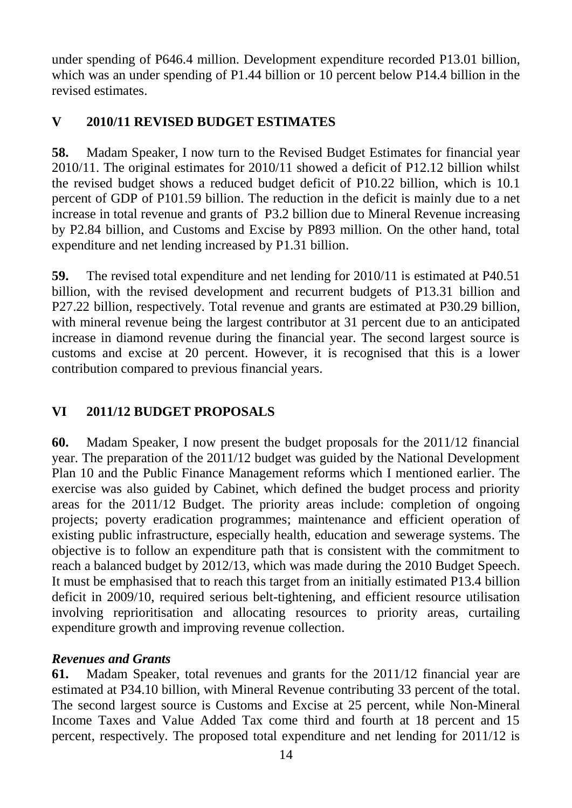under spending of P646.4 million. Development expenditure recorded P13.01 billion, which was an under spending of P1.44 billion or 10 percent below P14.4 billion in the revised estimates.

## <span id="page-15-0"></span>**V 2010/11 REVISED BUDGET ESTIMATES**

**58.** Madam Speaker, I now turn to the Revised Budget Estimates for financial year 2010/11. The original estimates for 2010/11 showed a deficit of P12.12 billion whilst the revised budget shows a reduced budget deficit of P10.22 billion, which is 10.1 percent of GDP of P101.59 billion. The reduction in the deficit is mainly due to a net increase in total revenue and grants of P3.2 billion due to Mineral Revenue increasing by P2.84 billion, and Customs and Excise by P893 million. On the other hand, total expenditure and net lending increased by P1.31 billion.

**59.** The revised total expenditure and net lending for 2010/11 is estimated at P40.51 billion, with the revised development and recurrent budgets of P13.31 billion and P27.22 billion, respectively. Total revenue and grants are estimated at P30.29 billion, with mineral revenue being the largest contributor at 31 percent due to an anticipated increase in diamond revenue during the financial year. The second largest source is customs and excise at 20 percent. However, it is recognised that this is a lower contribution compared to previous financial years.

## <span id="page-15-1"></span>**VI 2011/12 BUDGET PROPOSALS**

**60.** Madam Speaker, I now present the budget proposals for the 2011/12 financial year. The preparation of the 2011/12 budget was guided by the National Development Plan 10 and the Public Finance Management reforms which I mentioned earlier. The exercise was also guided by Cabinet, which defined the budget process and priority areas for the 2011/12 Budget. The priority areas include: completion of ongoing projects; poverty eradication programmes; maintenance and efficient operation of existing public infrastructure, especially health, education and sewerage systems. The objective is to follow an expenditure path that is consistent with the commitment to reach a balanced budget by 2012/13, which was made during the 2010 Budget Speech. It must be emphasised that to reach this target from an initially estimated P13.4 billion deficit in 2009/10, required serious belt-tightening, and efficient resource utilisation involving reprioritisation and allocating resources to priority areas, curtailing expenditure growth and improving revenue collection.

#### <span id="page-15-2"></span>*Revenues and Grants*

**61.** Madam Speaker, total revenues and grants for the 2011/12 financial year are estimated at P34.10 billion, with Mineral Revenue contributing 33 percent of the total. The second largest source is Customs and Excise at 25 percent, while Non-Mineral Income Taxes and Value Added Tax come third and fourth at 18 percent and 15 percent, respectively. The proposed total expenditure and net lending for 2011/12 is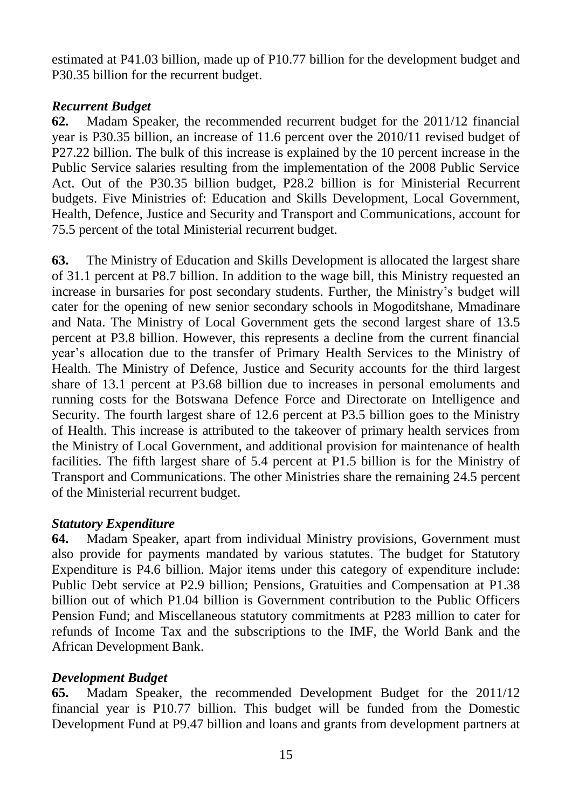estimated at P41.03 billion, made up of P10.77 billion for the development budget and P30.35 billion for the recurrent budget.

#### <span id="page-16-0"></span>*Recurrent Budget*

**62.** Madam Speaker, the recommended recurrent budget for the 2011/12 financial year is P30.35 billion, an increase of 11.6 percent over the 2010/11 revised budget of P27.22 billion. The bulk of this increase is explained by the 10 percent increase in the Public Service salaries resulting from the implementation of the 2008 Public Service Act. Out of the P30.35 billion budget, P28.2 billion is for Ministerial Recurrent budgets. Five Ministries of: Education and Skills Development, Local Government, Health, Defence, Justice and Security and Transport and Communications, account for 75.5 percent of the total Ministerial recurrent budget.

**63.** The Ministry of Education and Skills Development is allocated the largest share of 31.1 percent at P8.7 billion. In addition to the wage bill, this Ministry requested an increase in bursaries for post secondary students. Further, the Ministry's budget will cater for the opening of new senior secondary schools in Mogoditshane, Mmadinare and Nata. The Ministry of Local Government gets the second largest share of 13.5 percent at P3.8 billion. However, this represents a decline from the current financial year"s allocation due to the transfer of Primary Health Services to the Ministry of Health. The Ministry of Defence, Justice and Security accounts for the third largest share of 13.1 percent at P3.68 billion due to increases in personal emoluments and running costs for the Botswana Defence Force and Directorate on Intelligence and Security. The fourth largest share of 12.6 percent at P3.5 billion goes to the Ministry of Health. This increase is attributed to the takeover of primary health services from the Ministry of Local Government, and additional provision for maintenance of health facilities. The fifth largest share of 5.4 percent at P1.5 billion is for the Ministry of Transport and Communications. The other Ministries share the remaining 24.5 percent of the Ministerial recurrent budget.

#### <span id="page-16-1"></span>*Statutory Expenditure*

**64.** Madam Speaker, apart from individual Ministry provisions, Government must also provide for payments mandated by various statutes. The budget for Statutory Expenditure is P4.6 billion. Major items under this category of expenditure include: Public Debt service at P2.9 billion; Pensions, Gratuities and Compensation at P1.38 billion out of which P1.04 billion is Government contribution to the Public Officers Pension Fund; and Miscellaneous statutory commitments at P283 million to cater for refunds of Income Tax and the subscriptions to the IMF, the World Bank and the African Development Bank.

#### <span id="page-16-2"></span>*Development Budget*

**65.** Madam Speaker, the recommended Development Budget for the 2011/12 financial year is P10.77 billion. This budget will be funded from the Domestic Development Fund at P9.47 billion and loans and grants from development partners at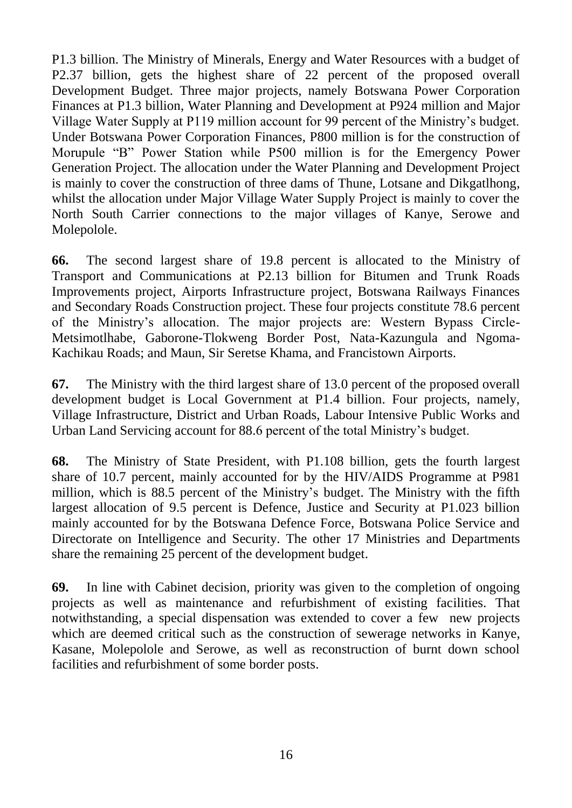P1.3 billion. The Ministry of Minerals, Energy and Water Resources with a budget of P2.37 billion, gets the highest share of 22 percent of the proposed overall Development Budget. Three major projects, namely Botswana Power Corporation Finances at P1.3 billion, Water Planning and Development at P924 million and Major Village Water Supply at P119 million account for 99 percent of the Ministry"s budget. Under Botswana Power Corporation Finances, P800 million is for the construction of Morupule "B" Power Station while P500 million is for the Emergency Power Generation Project. The allocation under the Water Planning and Development Project is mainly to cover the construction of three dams of Thune, Lotsane and Dikgatlhong, whilst the allocation under Major Village Water Supply Project is mainly to cover the North South Carrier connections to the major villages of Kanye, Serowe and Molepolole.

**66.** The second largest share of 19.8 percent is allocated to the Ministry of Transport and Communications at P2.13 billion for Bitumen and Trunk Roads Improvements project, Airports Infrastructure project, Botswana Railways Finances and Secondary Roads Construction project. These four projects constitute 78.6 percent of the Ministry"s allocation. The major projects are: Western Bypass Circle-Metsimotlhabe, Gaborone-Tlokweng Border Post, Nata-Kazungula and Ngoma-Kachikau Roads; and Maun, Sir Seretse Khama, and Francistown Airports.

**67.** The Ministry with the third largest share of 13.0 percent of the proposed overall development budget is Local Government at P1.4 billion. Four projects, namely, Village Infrastructure, District and Urban Roads, Labour Intensive Public Works and Urban Land Servicing account for 88.6 percent of the total Ministry"s budget.

**68.** The Ministry of State President, with P1.108 billion, gets the fourth largest share of 10.7 percent, mainly accounted for by the HIV/AIDS Programme at P981 million, which is 88.5 percent of the Ministry"s budget. The Ministry with the fifth largest allocation of 9.5 percent is Defence, Justice and Security at P1.023 billion mainly accounted for by the Botswana Defence Force, Botswana Police Service and Directorate on Intelligence and Security. The other 17 Ministries and Departments share the remaining 25 percent of the development budget.

**69.** In line with Cabinet decision, priority was given to the completion of ongoing projects as well as maintenance and refurbishment of existing facilities. That notwithstanding, a special dispensation was extended to cover a few new projects which are deemed critical such as the construction of sewerage networks in Kanye, Kasane, Molepolole and Serowe, as well as reconstruction of burnt down school facilities and refurbishment of some border posts.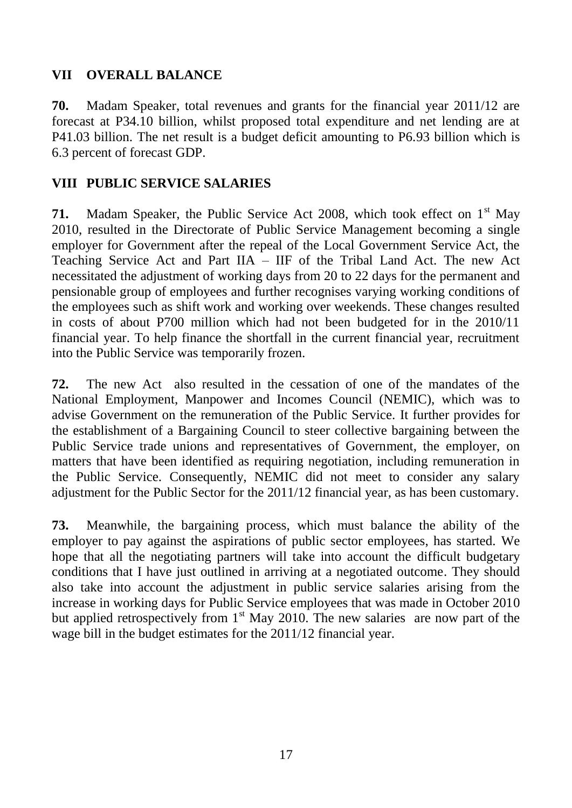## <span id="page-18-0"></span>**VII OVERALL BALANCE**

**70.** Madam Speaker, total revenues and grants for the financial year 2011/12 are forecast at P34.10 billion, whilst proposed total expenditure and net lending are at P41.03 billion. The net result is a budget deficit amounting to P6.93 billion which is 6.3 percent of forecast GDP.

#### <span id="page-18-1"></span>**VIII PUBLIC SERVICE SALARIES**

**71.** Madam Speaker, the Public Service Act 2008, which took effect on 1<sup>st</sup> May 2010, resulted in the Directorate of Public Service Management becoming a single employer for Government after the repeal of the Local Government Service Act, the Teaching Service Act and Part IIA – IIF of the Tribal Land Act. The new Act necessitated the adjustment of working days from 20 to 22 days for the permanent and pensionable group of employees and further recognises varying working conditions of the employees such as shift work and working over weekends. These changes resulted in costs of about P700 million which had not been budgeted for in the 2010/11 financial year. To help finance the shortfall in the current financial year, recruitment into the Public Service was temporarily frozen.

**72.** The new Act also resulted in the cessation of one of the mandates of the National Employment, Manpower and Incomes Council (NEMIC), which was to advise Government on the remuneration of the Public Service. It further provides for the establishment of a Bargaining Council to steer collective bargaining between the Public Service trade unions and representatives of Government, the employer, on matters that have been identified as requiring negotiation, including remuneration in the Public Service. Consequently, NEMIC did not meet to consider any salary adjustment for the Public Sector for the 2011/12 financial year, as has been customary.

**73.** Meanwhile, the bargaining process, which must balance the ability of the employer to pay against the aspirations of public sector employees, has started. We hope that all the negotiating partners will take into account the difficult budgetary conditions that I have just outlined in arriving at a negotiated outcome. They should also take into account the adjustment in public service salaries arising from the increase in working days for Public Service employees that was made in October 2010 but applied retrospectively from  $1<sup>st</sup>$  May 2010. The new salaries are now part of the wage bill in the budget estimates for the 2011/12 financial year.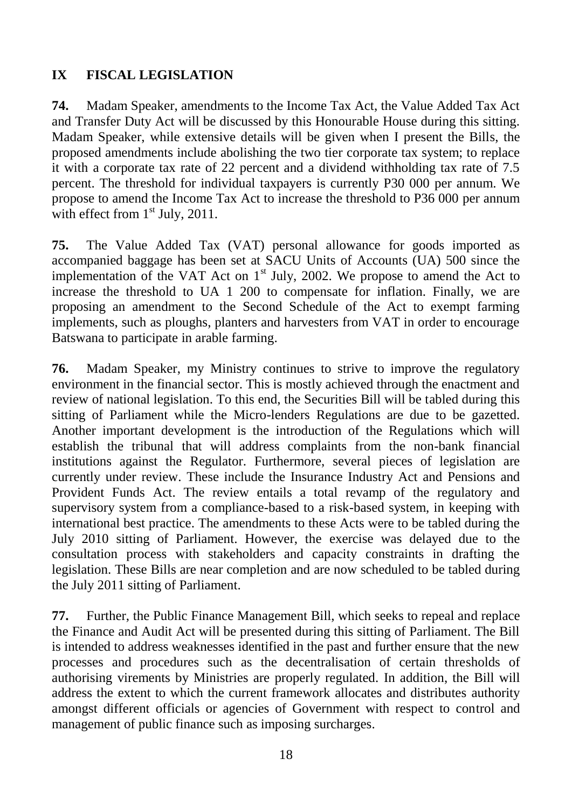#### <span id="page-19-0"></span>**IX FISCAL LEGISLATION**

**74.** Madam Speaker, amendments to the Income Tax Act, the Value Added Tax Act and Transfer Duty Act will be discussed by this Honourable House during this sitting. Madam Speaker, while extensive details will be given when I present the Bills, the proposed amendments include abolishing the two tier corporate tax system; to replace it with a corporate tax rate of 22 percent and a dividend withholding tax rate of 7.5 percent. The threshold for individual taxpayers is currently P30 000 per annum. We propose to amend the Income Tax Act to increase the threshold to P36 000 per annum with effect from  $1<sup>st</sup>$  July, 2011.

**75.** The Value Added Tax (VAT) personal allowance for goods imported as accompanied baggage has been set at SACU Units of Accounts (UA) 500 since the implementation of the VAT Act on  $1<sup>st</sup>$  July, 2002. We propose to amend the Act to increase the threshold to UA 1 200 to compensate for inflation. Finally, we are proposing an amendment to the Second Schedule of the Act to exempt farming implements, such as ploughs, planters and harvesters from VAT in order to encourage Batswana to participate in arable farming.

**76.** Madam Speaker, my Ministry continues to strive to improve the regulatory environment in the financial sector. This is mostly achieved through the enactment and review of national legislation. To this end, the Securities Bill will be tabled during this sitting of Parliament while the Micro-lenders Regulations are due to be gazetted. Another important development is the introduction of the Regulations which will establish the tribunal that will address complaints from the non-bank financial institutions against the Regulator. Furthermore, several pieces of legislation are currently under review. These include the Insurance Industry Act and Pensions and Provident Funds Act. The review entails a total revamp of the regulatory and supervisory system from a compliance-based to a risk-based system, in keeping with international best practice. The amendments to these Acts were to be tabled during the July 2010 sitting of Parliament. However, the exercise was delayed due to the consultation process with stakeholders and capacity constraints in drafting the legislation. These Bills are near completion and are now scheduled to be tabled during the July 2011 sitting of Parliament.

**77.** Further, the Public Finance Management Bill, which seeks to repeal and replace the Finance and Audit Act will be presented during this sitting of Parliament. The Bill is intended to address weaknesses identified in the past and further ensure that the new processes and procedures such as the decentralisation of certain thresholds of authorising virements by Ministries are properly regulated. In addition, the Bill will address the extent to which the current framework allocates and distributes authority amongst different officials or agencies of Government with respect to control and management of public finance such as imposing surcharges.